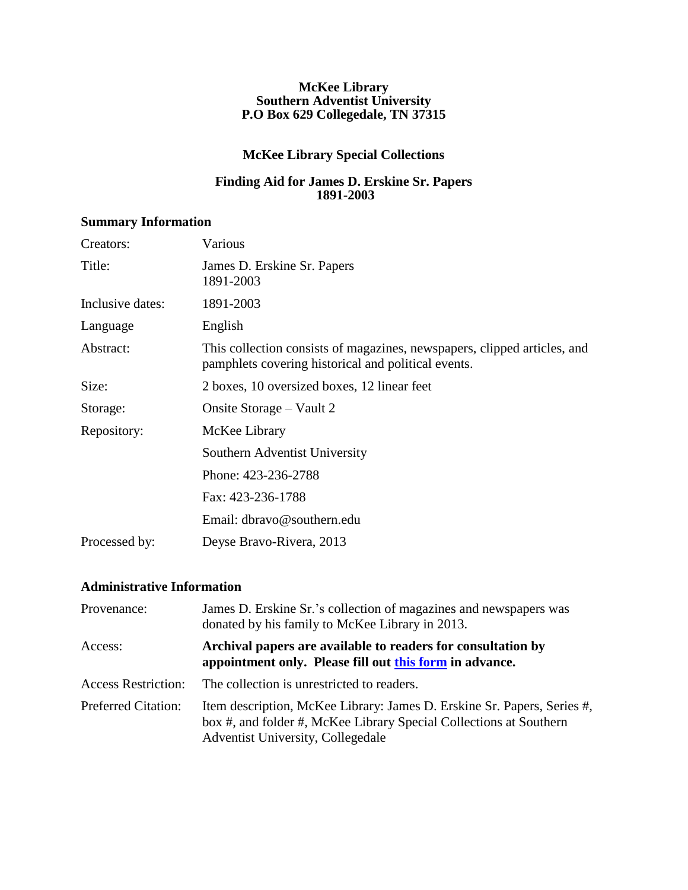#### **McKee Library Southern Adventist University P.O Box 629 Collegedale, TN 37315**

### **McKee Library Special Collections**

### **Finding Aid for James D. Erskine Sr. Papers 1891-2003**

## **Summary Information**

| Various                                                                                                                         |
|---------------------------------------------------------------------------------------------------------------------------------|
| James D. Erskine Sr. Papers<br>1891-2003                                                                                        |
| 1891-2003                                                                                                                       |
| English                                                                                                                         |
| This collection consists of magazines, newspapers, clipped articles, and<br>pamphlets covering historical and political events. |
| 2 boxes, 10 oversized boxes, 12 linear feet                                                                                     |
| Onsite Storage – Vault 2                                                                                                        |
| McKee Library                                                                                                                   |
| Southern Adventist University                                                                                                   |
| Phone: 423-236-2788                                                                                                             |
| Fax: 423-236-1788                                                                                                               |
| Email: dbravo@southern.edu                                                                                                      |
| Deyse Bravo-Rivera, 2013                                                                                                        |
|                                                                                                                                 |

### **Administrative Information**

| Provenance:                | James D. Erskine Sr.'s collection of magazines and newspapers was<br>donated by his family to McKee Library in 2013.                                                               |
|----------------------------|------------------------------------------------------------------------------------------------------------------------------------------------------------------------------------|
| Access:                    | Archival papers are available to readers for consultation by<br>appointment only. Please fill out this form in advance.                                                            |
| <b>Access Restriction:</b> | The collection is unrestricted to readers.                                                                                                                                         |
| <b>Preferred Citation:</b> | Item description, McKee Library: James D. Erskine Sr. Papers, Series #,<br>box #, and folder #, McKee Library Special Collections at Southern<br>Adventist University, Collegedale |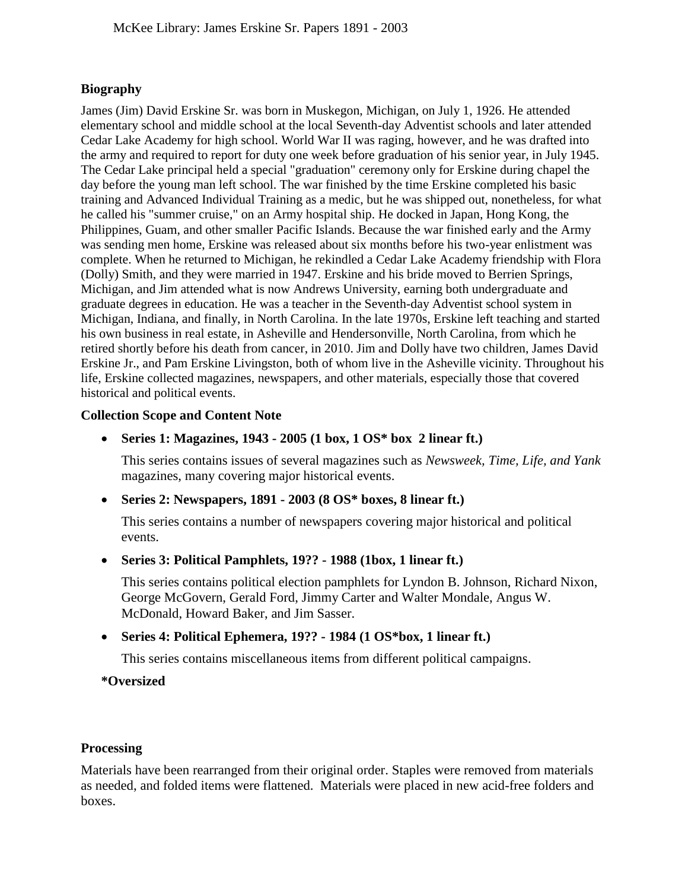### **Biography**

James (Jim) David Erskine Sr. was born in Muskegon, Michigan, on July 1, 1926. He attended elementary school and middle school at the local Seventh-day Adventist schools and later attended Cedar Lake Academy for high school. World War II was raging, however, and he was drafted into the army and required to report for duty one week before graduation of his senior year, in July 1945. The Cedar Lake principal held a special "graduation" ceremony only for Erskine during chapel the day before the young man left school. The war finished by the time Erskine completed his basic training and Advanced Individual Training as a medic, but he was shipped out, nonetheless, for what he called his "summer cruise," on an Army hospital ship. He docked in Japan, Hong Kong, the Philippines, Guam, and other smaller Pacific Islands. Because the war finished early and the Army was sending men home, Erskine was released about six months before his two-year enlistment was complete. When he returned to Michigan, he rekindled a Cedar Lake Academy friendship with Flora (Dolly) Smith, and they were married in 1947. Erskine and his bride moved to Berrien Springs, Michigan, and Jim attended what is now Andrews University, earning both undergraduate and graduate degrees in education. He was a teacher in the Seventh-day Adventist school system in Michigan, Indiana, and finally, in North Carolina. In the late 1970s, Erskine left teaching and started his own business in real estate, in Asheville and Hendersonville, North Carolina, from which he retired shortly before his death from cancer, in 2010. Jim and Dolly have two children, James David Erskine Jr., and Pam Erskine Livingston, both of whom live in the Asheville vicinity. Throughout his life, Erskine collected magazines, newspapers, and other materials, especially those that covered historical and political events.

#### **Collection Scope and Content Note**

### **[Series 1: Magazines, 1943 - 2005](#page-2-0) (1 box, 1 OS\* box 2 linear ft.)**

This series contains issues of several magazines such as *Newsweek, Time, Life, and Yank*  magazines, many covering major historical events.

**[Series 2: Newspapers, 1891 - 2003](#page-3-0) (8 OS\* boxes, 8 linear ft.)** 

This series contains a number of newspapers covering major historical and political events.

**[Series 3: Political Pamphlets, 19?? - 1988](#page-8-0) (1box, 1 linear ft.)** 

This series contains political election pamphlets for Lyndon B. Johnson, Richard Nixon, George McGovern, Gerald Ford, Jimmy Carter and Walter Mondale, Angus W. McDonald, Howard Baker, and Jim Sasser.

**[Series 4: Political Ephemera,](#page-9-0) 19?? - 1984 (1 OS\*box, 1 linear ft.)** 

This series contains miscellaneous items from different political campaigns.

**\*Oversized** 

### **Processing**

Materials have been rearranged from their original order. Staples were removed from materials as needed, and folded items were flattened. Materials were placed in new acid-free folders and boxes.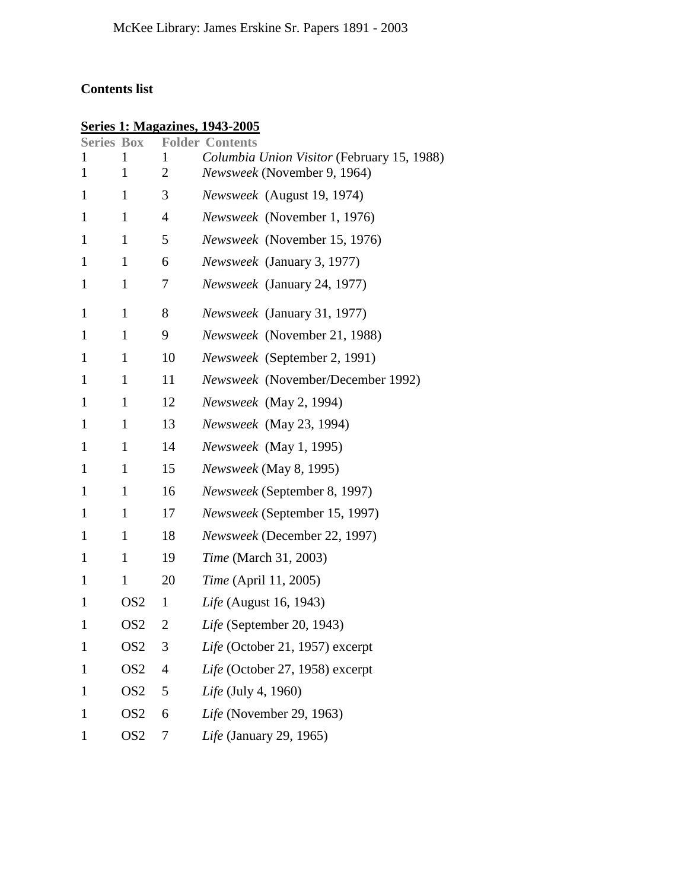# <span id="page-2-0"></span>**Contents list**

# **Series 1: Magazines, 1943-2005**

| <b>Series Box</b> |                 |                | <b>Folder Contents</b>                     |
|-------------------|-----------------|----------------|--------------------------------------------|
| 1                 | 1               | 1              | Columbia Union Visitor (February 15, 1988) |
| $\mathbf{1}$      | $\mathbf{1}$    | $\overline{2}$ | Newsweek (November 9, 1964)                |
| $\mathbf{1}$      | $\mathbf{1}$    | 3              | Newsweek (August 19, 1974)                 |
| 1                 | $\mathbf{1}$    | 4              | Newsweek (November 1, 1976)                |
| 1                 | $\mathbf{1}$    | 5              | Newsweek (November 15, 1976)               |
| $\mathbf{1}$      | $\mathbf{1}$    | 6              | Newsweek (January 3, 1977)                 |
| $\mathbf{1}$      | 1               | 7              | Newsweek (January 24, 1977)                |
| $\mathbf{1}$      | $\mathbf{1}$    | 8              | Newsweek (January 31, 1977)                |
| $\mathbf{1}$      | $\mathbf{1}$    | 9              | Newsweek (November 21, 1988)               |
| $\mathbf{1}$      | $\mathbf{1}$    | 10             | Newsweek (September 2, 1991)               |
| $\mathbf{1}$      | $\mathbf{1}$    | 11             | Newsweek (November/December 1992)          |
| $\mathbf{1}$      | 1               | 12             | Newsweek (May 2, 1994)                     |
| $\mathbf{1}$      | $\mathbf{1}$    | 13             | Newsweek (May 23, 1994)                    |
| $\mathbf{1}$      | $\mathbf{1}$    | 14             | Newsweek (May 1, 1995)                     |
| 1                 | $\mathbf{1}$    | 15             | Newsweek (May 8, 1995)                     |
| $\mathbf{1}$      | $\mathbf{1}$    | 16             | Newsweek (September 8, 1997)               |
| $\mathbf{1}$      | $\mathbf{1}$    | 17             | Newsweek (September 15, 1997)              |
| 1                 | 1               | 18             | Newsweek (December 22, 1997)               |
| $\mathbf{1}$      | $\mathbf{1}$    | 19             | <i>Time</i> (March 31, 2003)               |
| $\mathbf{1}$      | $\mathbf{1}$    | 20             | <i>Time</i> (April 11, 2005)               |
| 1                 | OS <sub>2</sub> | 1              | Life (August 16, 1943)                     |
| $\mathbf{1}$      | OS <sub>2</sub> | 2              | Life (September 20, 1943)                  |
| $\mathbf{1}$      | OS <sub>2</sub> | 3              | Life (October 21, 1957) excerpt            |
| 1                 | OS <sub>2</sub> | 4              | Life (October 27, 1958) excerpt            |
| 1                 | OS <sub>2</sub> | 5              | Life (July 4, 1960)                        |
| $\mathbf{1}$      | OS <sub>2</sub> | 6              | Life (November 29, 1963)                   |
| $\mathbf{1}$      | OS <sub>2</sub> | 7              | Life (January 29, 1965)                    |
|                   |                 |                |                                            |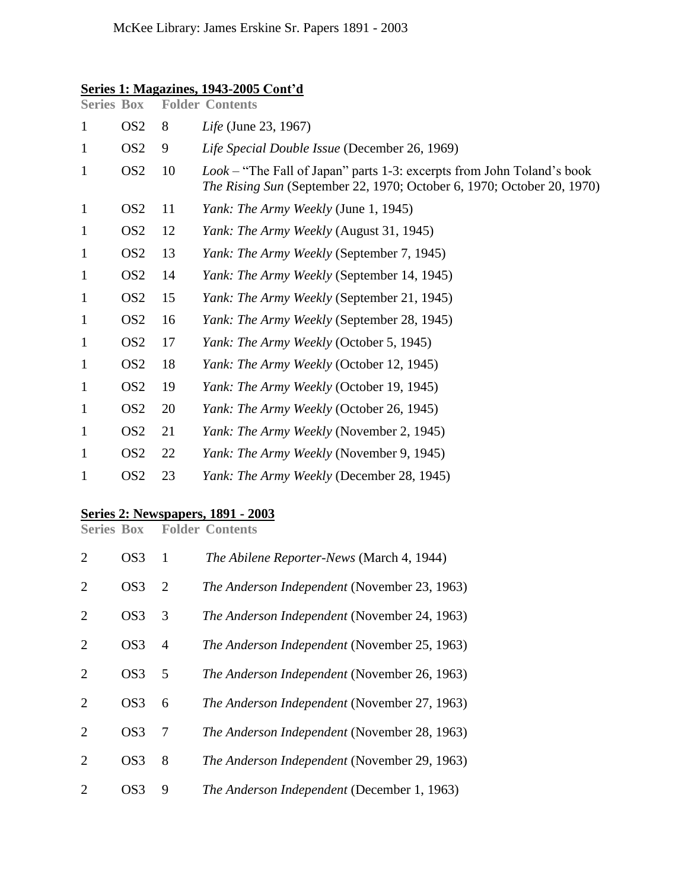### <span id="page-3-0"></span>**Series 1: Magazines, 1943-2005 Cont'd**

| <b>Series Box</b> |                 |    | <b>Folder Contents</b>                                                                                                                                         |
|-------------------|-----------------|----|----------------------------------------------------------------------------------------------------------------------------------------------------------------|
| $\mathbf{1}$      | OS <sub>2</sub> | 8  | Life (June 23, 1967)                                                                                                                                           |
| $\mathbf 1$       | OS <sub>2</sub> | 9  | Life Special Double Issue (December 26, 1969)                                                                                                                  |
| $\mathbf{1}$      | OS <sub>2</sub> | 10 | <i>Look</i> – "The Fall of Japan" parts 1-3: excerpts from John Toland's book<br><i>The Rising Sun</i> (September 22, 1970; October 6, 1970; October 20, 1970) |
| $\mathbf{1}$      | OS <sub>2</sub> | 11 | <i>Yank: The Army Weekly (June 1, 1945)</i>                                                                                                                    |
| $\mathbf 1$       | OS <sub>2</sub> | 12 | <i>Yank: The Army Weekly (August 31, 1945)</i>                                                                                                                 |
| $\mathbf{1}$      | OS <sub>2</sub> | 13 | <i>Yank: The Army Weekly (September 7, 1945)</i>                                                                                                               |
| $\mathbf{1}$      | OS <sub>2</sub> | 14 | <i>Yank: The Army Weekly (September 14, 1945)</i>                                                                                                              |
| $\mathbf{1}$      | OS <sub>2</sub> | 15 | <i>Yank: The Army Weekly (September 21, 1945)</i>                                                                                                              |
| $\mathbf{1}$      | OS <sub>2</sub> | 16 | Yank: The Army Weekly (September 28, 1945)                                                                                                                     |
| $\mathbf{1}$      | OS <sub>2</sub> | 17 | Yank: The Army Weekly (October 5, 1945)                                                                                                                        |
| $\mathbf{1}$      | OS <sub>2</sub> | 18 | Yank: The Army Weekly (October 12, 1945)                                                                                                                       |
| $\mathbf{1}$      | OS <sub>2</sub> | 19 | Yank: The Army Weekly (October 19, 1945)                                                                                                                       |
| $\mathbf{1}$      | OS <sub>2</sub> | 20 | Yank: The Army Weekly (October 26, 1945)                                                                                                                       |
| $\mathbf{1}$      | OS <sub>2</sub> | 21 | <i>Yank: The Army Weekly (November 2, 1945)</i>                                                                                                                |
| $\mathbf{1}$      | OS <sub>2</sub> | 22 | <i>Yank: The Army Weekly (November 9, 1945)</i>                                                                                                                |
| 1                 | OS <sub>2</sub> | 23 | Yank: The Army Weekly (December 28, 1945)                                                                                                                      |
|                   |                 |    |                                                                                                                                                                |

### **Series 2: Newspapers, 1891 - 2003**

**Series Box Folder Contents**

| 2                           | OS3             | 1              | The Abilene Reporter-News (March 4, 1944)           |
|-----------------------------|-----------------|----------------|-----------------------------------------------------|
| $\mathcal{D}_{\mathcal{L}}$ | OS <sub>3</sub> | 2              | The Anderson Independent (November 23, 1963)        |
| 2                           | OS <sub>3</sub> | 3              | The Anderson Independent (November 24, 1963)        |
| 2                           | OS <sub>3</sub> | $\overline{A}$ | <i>The Anderson Independent</i> (November 25, 1963) |
| $\mathcal{D}_{\cdot}$       | OS <sub>3</sub> | 5              | <i>The Anderson Independent</i> (November 26, 1963) |
| 2                           | OS <sub>3</sub> | 6              | The Anderson Independent (November 27, 1963)        |
| 2                           | OS <sub>3</sub> | 7              | The Anderson Independent (November 28, 1963)        |
| $\mathcal{D}_{\cdot}$       | OS3             | 8              | The Anderson Independent (November 29, 1963)        |
|                             | OS3             | 9              | The Anderson Independent (December 1, 1963)         |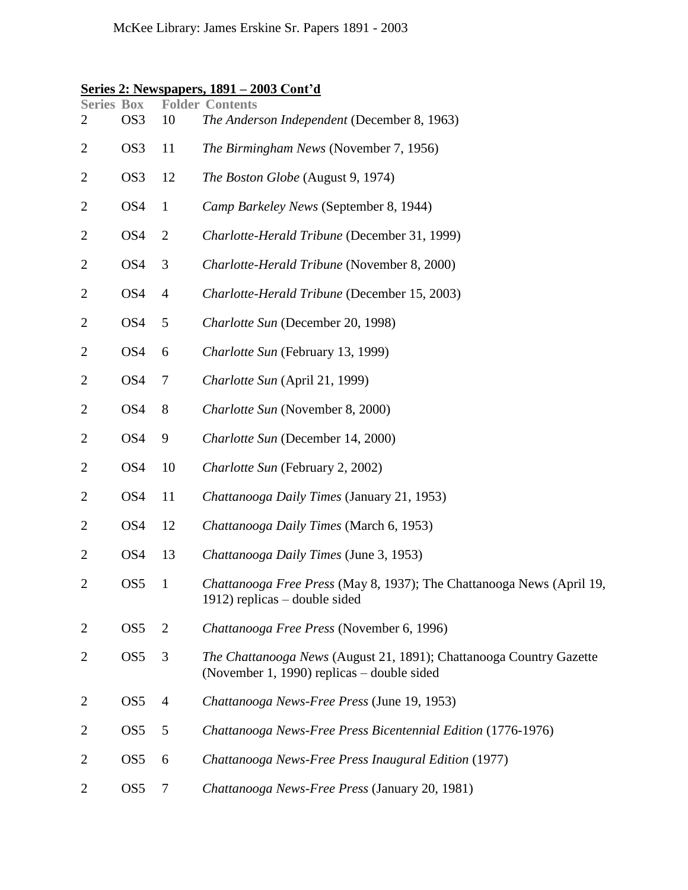| Series 2: Newspapers, 1891 – 2003 Cont'd |  |  |  |
|------------------------------------------|--|--|--|
|------------------------------------------|--|--|--|

| <b>Series Box</b><br>2 | OS <sub>3</sub> | 10             | <b>Folder Contents</b><br>The Anderson Independent (December 8, 1963)                                             |
|------------------------|-----------------|----------------|-------------------------------------------------------------------------------------------------------------------|
| $\overline{2}$         | OS <sub>3</sub> | 11             | The Birmingham News (November 7, 1956)                                                                            |
| $\overline{2}$         | OS3             | 12             | The Boston Globe (August 9, 1974)                                                                                 |
| $\overline{c}$         | OS4             | $\mathbf{1}$   | Camp Barkeley News (September 8, 1944)                                                                            |
| $\overline{2}$         | OS <sub>4</sub> | $\overline{2}$ | Charlotte-Herald Tribune (December 31, 1999)                                                                      |
| $\overline{2}$         | OS4             | 3              | Charlotte-Herald Tribune (November 8, 2000)                                                                       |
| $\overline{2}$         | OS <sub>4</sub> | $\overline{4}$ | Charlotte-Herald Tribune (December 15, 2003)                                                                      |
| $\overline{2}$         | OS <sub>4</sub> | 5              | Charlotte Sun (December 20, 1998)                                                                                 |
| $\overline{2}$         | OS <sub>4</sub> | 6              | Charlotte Sun (February 13, 1999)                                                                                 |
| $\overline{2}$         | OS4             | 7              | Charlotte Sun (April 21, 1999)                                                                                    |
| $\overline{2}$         | OS4             | 8              | Charlotte Sun (November 8, 2000)                                                                                  |
| $\overline{2}$         | OS <sub>4</sub> | 9              | Charlotte Sun (December 14, 2000)                                                                                 |
| $\overline{2}$         | OS <sub>4</sub> | 10             | Charlotte Sun (February 2, 2002)                                                                                  |
| $\overline{2}$         | OS <sub>4</sub> | 11             | Chattanooga Daily Times (January 21, 1953)                                                                        |
| $\overline{2}$         | OS <sub>4</sub> | 12             | Chattanooga Daily Times (March 6, 1953)                                                                           |
| $\overline{2}$         | OS <sub>4</sub> | 13             | Chattanooga Daily Times (June 3, 1953)                                                                            |
| $\overline{2}$         | OS <sub>5</sub> | $\mathbf{1}$   | Chattanooga Free Press (May 8, 1937); The Chattanooga News (April 19,<br>1912) replicas – double sided            |
| $\overline{2}$         | OS <sub>5</sub> | 2              | Chattanooga Free Press (November 6, 1996)                                                                         |
| $\overline{2}$         | OS <sub>5</sub> | 3              | The Chattanooga News (August 21, 1891); Chattanooga Country Gazette<br>(November 1, 1990) replicas – double sided |
| $\overline{2}$         | OS <sub>5</sub> | 4              | Chattanooga News-Free Press (June 19, 1953)                                                                       |
| $\overline{2}$         | OS <sub>5</sub> | 5              | Chattanooga News-Free Press Bicentennial Edition (1776-1976)                                                      |
| $\overline{2}$         | OS <sub>5</sub> | 6              | Chattanooga News-Free Press Inaugural Edition (1977)                                                              |
| $\overline{2}$         | OS <sub>5</sub> | 7              | Chattanooga News-Free Press (January 20, 1981)                                                                    |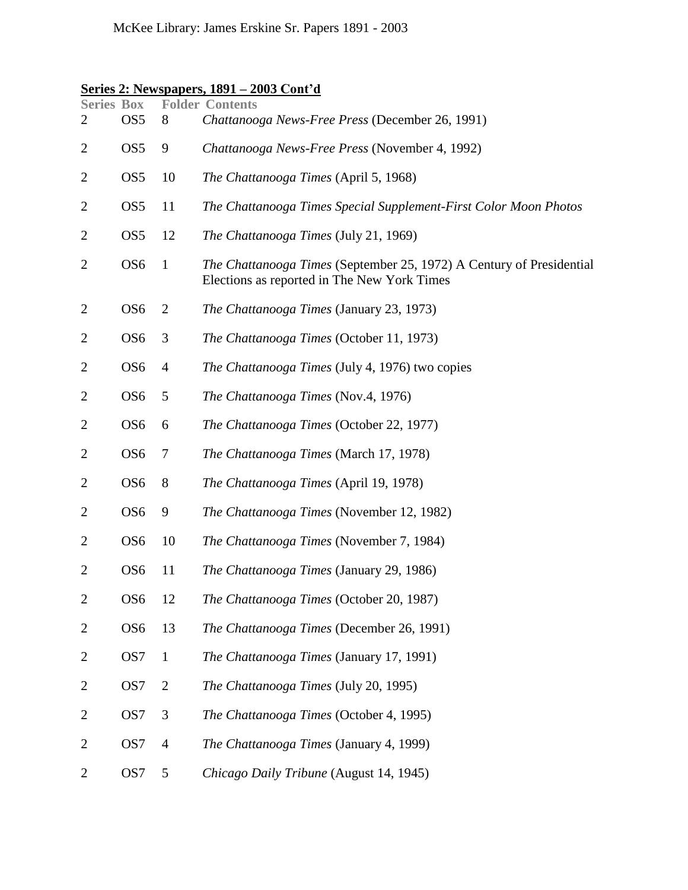# **Series 2: Newspapers, 1891 – 2003 Cont'd**

| <b>Series Box</b><br>2      | OS <sub>5</sub> | 8              | <b>Folder Contents</b><br>Chattanooga News-Free Press (December 26, 1991)                                                  |
|-----------------------------|-----------------|----------------|----------------------------------------------------------------------------------------------------------------------------|
| $\overline{2}$              | OS <sub>5</sub> | 9              | Chattanooga News-Free Press (November 4, 1992)                                                                             |
| 2                           | OS <sub>5</sub> | 10             | The Chattanooga Times (April 5, 1968)                                                                                      |
| $\overline{2}$              | OS <sub>5</sub> | 11             | The Chattanooga Times Special Supplement-First Color Moon Photos                                                           |
| 2                           | OS <sub>5</sub> | 12             | The Chattanooga Times (July 21, 1969)                                                                                      |
| 2                           | OS <sub>6</sub> | $\mathbf{1}$   | <i>The Chattanooga Times</i> (September 25, 1972) A Century of Presidential<br>Elections as reported in The New York Times |
| $\overline{2}$              | OS <sub>6</sub> | 2              | <i>The Chattanooga Times</i> (January 23, 1973)                                                                            |
| $\overline{c}$              | OS <sub>6</sub> | 3              | The Chattanooga Times (October 11, 1973)                                                                                   |
| $\overline{2}$              | OS <sub>6</sub> | $\overline{4}$ | The Chattanooga Times (July 4, 1976) two copies                                                                            |
| 2                           | OS <sub>6</sub> | 5              | The Chattanooga Times (Nov.4, 1976)                                                                                        |
| $\overline{2}$              | OS <sub>6</sub> | 6              | The Chattanooga Times (October 22, 1977)                                                                                   |
| 2                           | OS <sub>6</sub> | 7              | The Chattanooga Times (March 17, 1978)                                                                                     |
| $\overline{2}$              | OS <sub>6</sub> | 8              | <i>The Chattanooga Times</i> (April 19, 1978)                                                                              |
| 2                           | OS <sub>6</sub> | 9              | The Chattanooga Times (November 12, 1982)                                                                                  |
| $\overline{2}$              | OS <sub>6</sub> | 10             | The Chattanooga Times (November 7, 1984)                                                                                   |
| $\overline{2}$              | OS <sub>6</sub> | 11             | The Chattanooga Times (January 29, 1986)                                                                                   |
| $\mathcal{D}_{\mathcal{L}}$ | OS6             | 12             | The Chattanooga Times (October 20, 1987)                                                                                   |
| $\overline{2}$              | OS <sub>6</sub> | 13             | The Chattanooga Times (December 26, 1991)                                                                                  |
| $\overline{2}$              | OS7             | $\mathbf{1}$   | The Chattanooga Times (January 17, 1991)                                                                                   |
| $\overline{2}$              | OS7             | 2              | The Chattanooga Times (July 20, 1995)                                                                                      |
| $\overline{2}$              | OS7             | 3              | The Chattanooga Times (October 4, 1995)                                                                                    |
| $\overline{2}$              | OS7             | $\overline{4}$ | The Chattanooga Times (January 4, 1999)                                                                                    |
| $\overline{2}$              | OS7             | 5              | Chicago Daily Tribune (August 14, 1945)                                                                                    |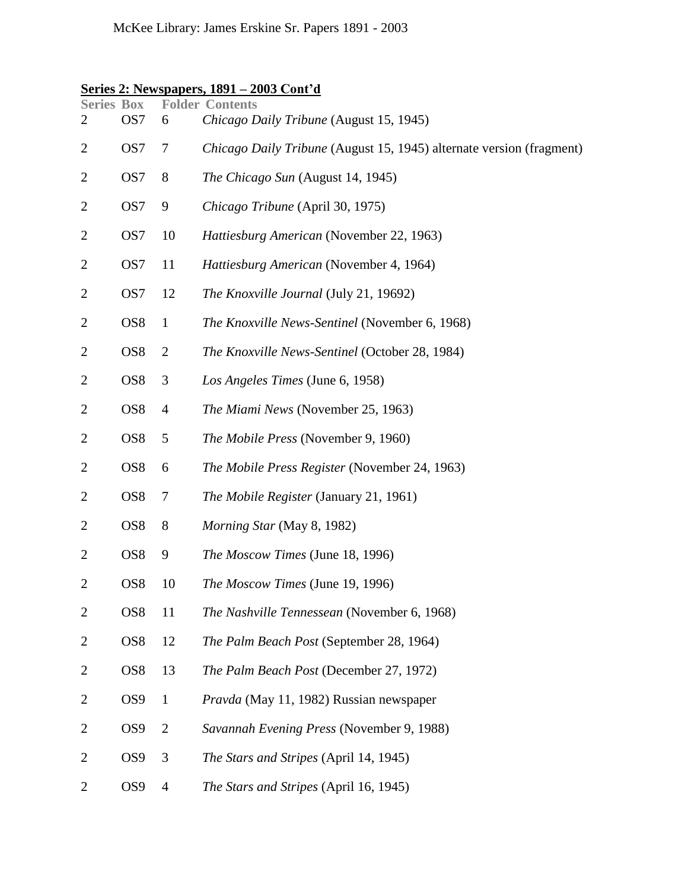# **Series 2: Newspapers, 1891 – 2003 Cont'd**

| <b>Series Box</b><br>2 | OS <sub>7</sub> | 6              | <b>Folder Contents</b><br>Chicago Daily Tribune (August 15, 1945)           |
|------------------------|-----------------|----------------|-----------------------------------------------------------------------------|
| $\overline{2}$         | OS7             | 7              | <i>Chicago Daily Tribune</i> (August 15, 1945) alternate version (fragment) |
| 2                      | OS <sub>7</sub> | 8              | The Chicago Sun (August 14, 1945)                                           |
| $\overline{c}$         | OS7             | 9              | Chicago Tribune (April 30, 1975)                                            |
| $\overline{c}$         | OS7             | 10             | Hattiesburg American (November 22, 1963)                                    |
| $\overline{c}$         | OS <sub>7</sub> | 11             | Hattiesburg American (November 4, 1964)                                     |
| $\overline{2}$         | OS7             | 12             | The Knoxville Journal (July 21, 19692)                                      |
| 2                      | OS <sub>8</sub> | $\mathbf{1}$   | The Knoxville News-Sentinel (November 6, 1968)                              |
| $\overline{c}$         | OS <sub>8</sub> | $\overline{2}$ | The Knoxville News-Sentinel (October 28, 1984)                              |
| $\overline{c}$         | OS <sub>8</sub> | 3              | Los Angeles Times (June 6, 1958)                                            |
| 2                      | OS <sub>8</sub> | $\overline{4}$ | The Miami News (November 25, 1963)                                          |
| $\overline{2}$         | OS <sub>8</sub> | 5              | The Mobile Press (November 9, 1960)                                         |
| 2                      | OS <sub>8</sub> | 6              | The Mobile Press Register (November 24, 1963)                               |
| $\overline{2}$         | OS <sub>8</sub> | 7              | The Mobile Register (January 21, 1961)                                      |
| $\overline{c}$         | OS <sub>8</sub> | $8\phantom{1}$ | Morning Star (May 8, 1982)                                                  |
| $\overline{2}$         | OS <sub>8</sub> | 9              | The Moscow Times (June 18, 1996)                                            |
| $\overline{2}$         | OS <sub>8</sub> | 10             | The Moscow Times (June 19, 1996)                                            |
| $\overline{c}$         | OS <sub>8</sub> | 11             | The Nashville Tennessean (November 6, 1968)                                 |
| $\overline{2}$         | OS8             | 12             | The Palm Beach Post (September 28, 1964)                                    |
| $\overline{c}$         | OS8             | 13             | The Palm Beach Post (December 27, 1972)                                     |
| 2                      | OS <sub>9</sub> | $\mathbf{1}$   | Pravda (May 11, 1982) Russian newspaper                                     |
| $\overline{2}$         | OS <sub>9</sub> | $\overline{2}$ | Savannah Evening Press (November 9, 1988)                                   |
| $\overline{2}$         | OS <sub>9</sub> | 3              | The Stars and Stripes (April 14, 1945)                                      |
| 2                      | OS <sub>9</sub> | $\overline{4}$ | The Stars and Stripes (April 16, 1945)                                      |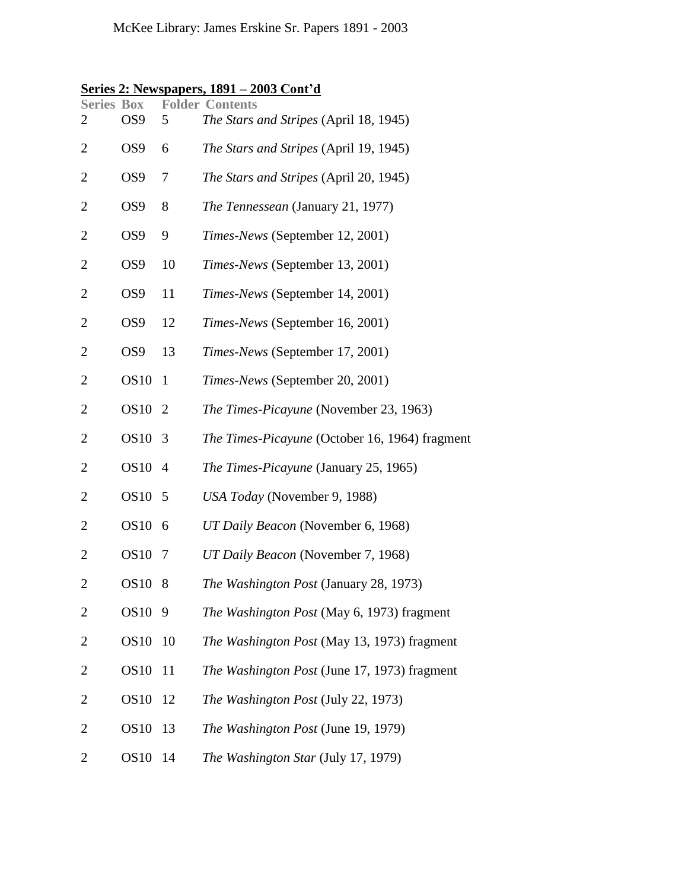# **Series 2: Newspapers, 1891 – 2003 Cont'd**

| <b>Series Box</b><br>2 | OS <sub>9</sub> | 5              | <b>Folder Contents</b><br>The Stars and Stripes (April 18, 1945) |
|------------------------|-----------------|----------------|------------------------------------------------------------------|
| $\mathbf{2}$           | OS <sub>9</sub> | 6              | The Stars and Stripes (April 19, 1945)                           |
| 2                      | OS <sub>9</sub> | 7              | The Stars and Stripes (April 20, 1945)                           |
| $\overline{c}$         | OS <sub>9</sub> | 8              | The Tennessean (January 21, 1977)                                |
| $\overline{2}$         | OS <sub>9</sub> | 9              | Times-News (September 12, 2001)                                  |
| $\overline{2}$         | OS <sub>9</sub> | 10             | Times-News (September 13, 2001)                                  |
| $\mathbf{2}$           | OS <sub>9</sub> | 11             | Times-News (September 14, 2001)                                  |
| $\overline{2}$         | OS <sub>9</sub> | 12             | Times-News (September 16, 2001)                                  |
| 2                      | OS <sub>9</sub> | 13             | Times-News (September 17, 2001)                                  |
| 2                      | <b>OS10</b>     | $\mathbf{1}$   | Times-News (September 20, 2001)                                  |
| $\overline{c}$         | OS10 2          |                | The Times-Picayune (November 23, 1963)                           |
| $\overline{c}$         | OS10            | $\overline{3}$ | The Times-Picayune (October 16, 1964) fragment                   |
| 2                      | OS10 4          |                | The Times-Picayune (January 25, 1965)                            |
| $\overline{2}$         | OS10 5          |                | USA Today (November 9, 1988)                                     |
| $\overline{2}$         | OS10 6          |                | UT Daily Beacon (November 6, 1968)                               |
| 2                      | <b>OS10</b>     | 7              | UT Daily Beacon (November 7, 1968)                               |
| 2                      | OS10 8          |                | The Washington Post (January 28, 1973)                           |
| 2                      | <b>OS10</b>     | 9              | The Washington Post (May 6, 1973) fragment                       |
| 2                      | <b>OS10</b>     | 10             | The Washington Post (May 13, 1973) fragment                      |
| 2                      | <b>OS10</b>     | 11             | The Washington Post (June 17, 1973) fragment                     |
| $\overline{2}$         | <b>OS10</b>     | 12             | The Washington Post (July 22, 1973)                              |
| $\overline{c}$         | <b>OS10</b>     | 13             | The Washington Post (June 19, 1979)                              |
| 2                      | <b>OS10</b>     | 14             | The Washington Star (July 17, 1979)                              |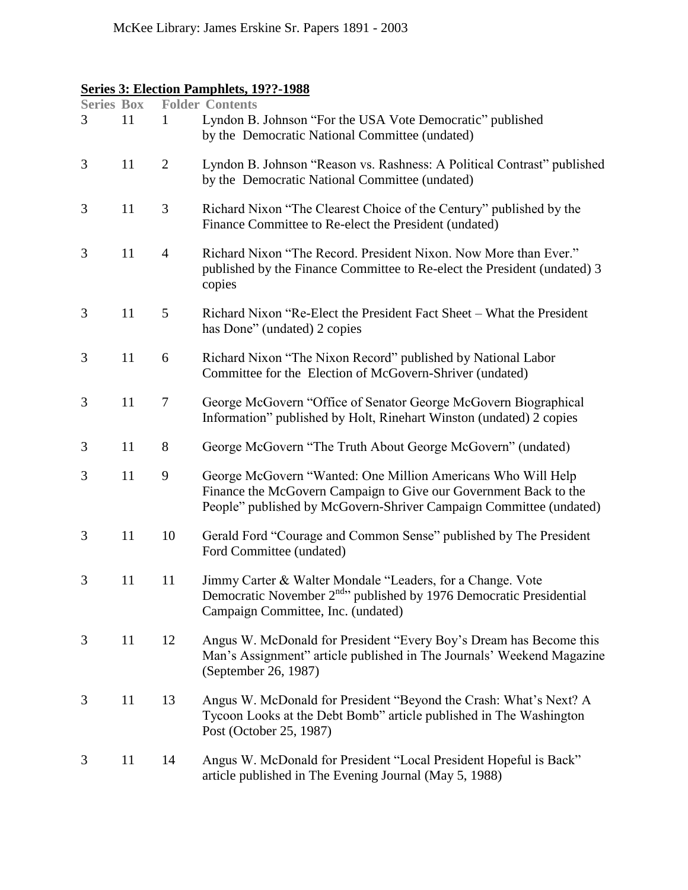# <span id="page-8-0"></span>**Series 3: Election Pamphlets, 19??-1988**

| <b>Series Box</b><br>3 | 11 | 1              | <b>Folder Contents</b><br>Lyndon B. Johnson "For the USA Vote Democratic" published<br>by the Democratic National Committee (undated)                                                                  |
|------------------------|----|----------------|--------------------------------------------------------------------------------------------------------------------------------------------------------------------------------------------------------|
| 3                      | 11 | $\overline{2}$ | Lyndon B. Johnson "Reason vs. Rashness: A Political Contrast" published<br>by the Democratic National Committee (undated)                                                                              |
| 3                      | 11 | 3              | Richard Nixon "The Clearest Choice of the Century" published by the<br>Finance Committee to Re-elect the President (undated)                                                                           |
| 3                      | 11 | $\overline{4}$ | Richard Nixon "The Record. President Nixon. Now More than Ever."<br>published by the Finance Committee to Re-elect the President (undated) 3<br>copies                                                 |
| 3                      | 11 | 5              | Richard Nixon "Re-Elect the President Fact Sheet – What the President<br>has Done" (undated) 2 copies                                                                                                  |
| 3                      | 11 | 6              | Richard Nixon "The Nixon Record" published by National Labor<br>Committee for the Election of McGovern-Shriver (undated)                                                                               |
| 3                      | 11 | $\tau$         | George McGovern "Office of Senator George McGovern Biographical<br>Information" published by Holt, Rinehart Winston (undated) 2 copies                                                                 |
| 3                      | 11 | $8\,$          | George McGovern "The Truth About George McGovern" (undated)                                                                                                                                            |
| 3                      | 11 | 9              | George McGovern "Wanted: One Million Americans Who Will Help<br>Finance the McGovern Campaign to Give our Government Back to the<br>People" published by McGovern-Shriver Campaign Committee (undated) |
| 3                      | 11 | 10             | Gerald Ford "Courage and Common Sense" published by The President<br>Ford Committee (undated)                                                                                                          |
| 3                      | 11 | 11             | Jimmy Carter & Walter Mondale "Leaders, for a Change. Vote<br>Democratic November $2^{nd}$ <sup>d</sup> published by 1976 Democratic Presidential<br>Campaign Committee, Inc. (undated)                |
| 3                      | 11 | 12             | Angus W. McDonald for President "Every Boy's Dream has Become this<br>Man's Assignment" article published in The Journals' Weekend Magazine<br>(September 26, 1987)                                    |
| 3                      | 11 | 13             | Angus W. McDonald for President "Beyond the Crash: What's Next? A<br>Tycoon Looks at the Debt Bomb" article published in The Washington<br>Post (October 25, 1987)                                     |
| 3                      | 11 | 14             | Angus W. McDonald for President "Local President Hopeful is Back"<br>article published in The Evening Journal (May 5, 1988)                                                                            |